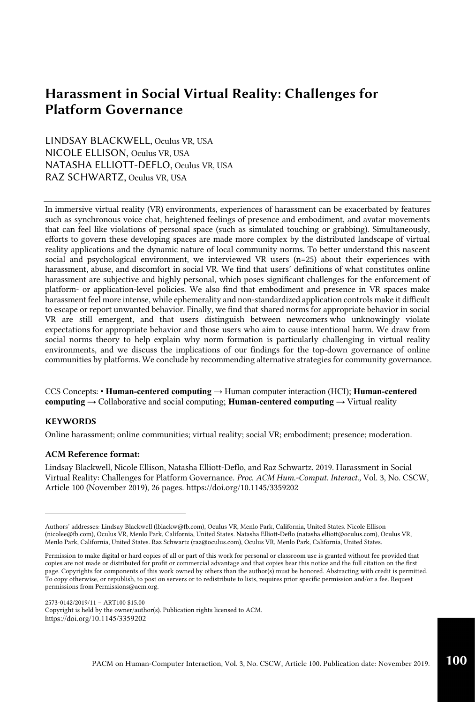LINDSAY BLACKWELL, Oculus VR, USA NICOLE ELLISON, Oculus VR, USA NATASHA ELLIOTT-DEFLO, Oculus VR, USA RAZ SCHWARTZ, Oculus VR, USA

In immersive virtual reality (VR) environments, experiences of harassment can be exacerbated by features such as synchronous voice chat, heightened feelings of presence and embodiment, and avatar movements that can feel like violations of personal space (such as simulated touching or grabbing). Simultaneously, efforts to govern these developing spaces are made more complex by the distributed landscape of virtual reality applications and the dynamic nature of local community norms. To beter understand this nascent social and psychological environment, we interviewed VR users (n=25) about their experiences with harassment, abuse, and discomfort in social VR. We find that users' definitions of what constitutes online harassment are subjective and highly personal, which poses significant challenges for the enforcement of platform- or application-level policies. We also find that embodiment and presence in VR spaces make harassment feel more intense, while ephemerality and non-standardized application controls make it difficult to escape or report unwanted behavior. Finally, we find that shared norms for appropriate behavior in social VR are still emergent, and that users distinguish between newcomers who unknowingly violate expectations for appropriate behavior and those users who aim to cause intentional harm. We draw from social norms theory to help explain why norm formation is particularly challenging in virtual reality environments, and we discuss the implications of our findings for the top-down governance of online communities by platforms. We conclude by recommending alternative strategies for community governance.

CCS Concepts: • **Human-centered computing →** Human computer interaction (HCI); **Human-centered computing →** Collaborative and social computing; **Human-centered computing →** Virtual reality

### **KEYWORDS**

Online harassment; online communities; virtual reality; social VR; embodiment; presence; moderation.

### ACM Reference format:

Lindsay Blackwell, Nicole Ellison, Natasha Elliott-Deflo, and Raz Schwartz. 2019. Harassment in Social Virtual Reality: Challenges for Platform Governance. *Proc. ACM Hum.-Comput. Interact.,* Vol. 3, No. CSCW, Article 100 (November 2019), 26 pages. https://doi.org/10.1145/3359202

2573-0142/2019/11 – ART100 \$15.00 Copyright is held by the owner/author(s). Publication rights licensed to ACM. https://doi.org/10.1145/3359202

Authors' addresses: Lindsay Blackwell (lblackw@f.com), Oculus VR, Menlo Park, California, United States. Nicole Ellison (nicolee@f.com), Oculus VR, Menlo Park, California, United States. Natasha Elliot-Deflo (natasha.elliot@oculus.com), Oculus VR, Menlo Park, California, United States. Raz Schwartz (raz@oculus.com), Oculus VR, Menlo Park, California, United States.

Permission to make digital or hard copies of all or part of this work for personal or classroom use is granted without fee provided that copies are not made or distributed for profit or commercial advantage and that copies bear this notice and the full citation on the first page. Copyrights for components of this work owned by others than the author(s) must be honored. Abstracting with credit is permited. To copy otherwise, or republish, to post on servers or to redistribute to lists, requires prior specific permission and/or a fee. Request permissions from Permissions@acm.org.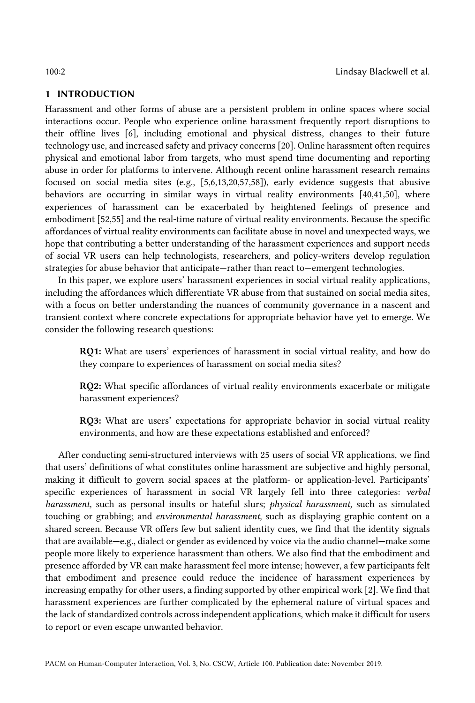### 1 INTRODUCTION

Harassment and other forms of abuse are a persistent problem in online spaces where social interactions occur. People who experience online harassment frequently report disruptions to their offline lives [6], including emotional and physical distress, changes to their future technology use, and increased safety and privacy concerns [20]. Online harassment often requires physical and emotional labor from targets, who must spend time documenting and reporting abuse in order for platforms to intervene. Although recent online harassment research remains focused on social media sites (e.g., [5,6,13,20,57,58]), early evidence suggests that abusive behaviors are occurring in similar ways in virtual reality environments [40,41,50], where experiences of harassment can be exacerbated by heightened feelings of presence and embodiment [52,55] and the real-time nature of virtual reality environments. Because the specific affordances of virtual reality environments can facilitate abuse in novel and unexpected ways, we hope that contributing a better understanding of the harassment experiences and support needs of social VR users can help technologists, researchers, and policy-writers develop regulation strategies for abuse behavior that anticipate—rather than react to—emergent technologies.

In this paper, we explore users' harassment experiences in social virtual reality applications, including the affordances which differentiate VR abuse from that sustained on social media sites, with a focus on better understanding the nuances of community governance in a nascent and transient context where concrete expectations for appropriate behavior have yet to emerge. We consider the following research questions:

RQ1: What are users' experiences of harassment in social virtual reality, and how do they compare to experiences of harassment on social media sites?

RQ2: What specific affordances of virtual reality environments exacerbate or mitigate harassment experiences?

RQ3: What are users' expectations for appropriate behavior in social virtual reality environments, and how are these expectations established and enforced?

After conducting semi-structured interviews with 25 users of social VR applications, we find that users' definitions of what constitutes online harassment are subjective and highly personal, making it difficult to govern social spaces at the platform- or application-level. Participants' specific experiences of harassment in social VR largely fell into three categories: *verbal harassment,* such as personal insults or hateful slurs; *physical harassment,* such as simulated touching or grabbing; and *environmental harassment,* such as displaying graphic content on a shared screen. Because VR offers few but salient identity cues, we find that the identity signals that are available—e.g., dialect or gender as evidenced by voice via the audio channel—make some people more likely to experience harassment than others. We also find that the embodiment and presence afforded by VR can make harassment feel more intense; however, a few participants felt that embodiment and presence could reduce the incidence of harassment experiences by increasing empathy for other users, a finding supported by other empirical work [2]. We find that harassment experiences are further complicated by the ephemeral nature of virtual spaces and the lack of standardized controls acrossindependent applications, which make it difficult for users to report or even escape unwanted behavior.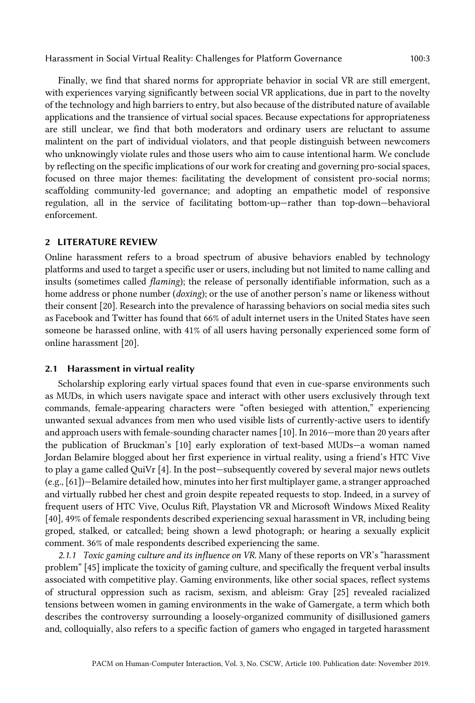Finally, we find that shared norms for appropriate behavior in social VR are still emergent, with experiences varying significantly between social VR applications, due in part to the novelty of the technology and high barriers to entry, but also because of the distributed nature of available applications and the transience of virtual social spaces. Because expectations for appropriateness are still unclear, we find that both moderators and ordinary users are reluctant to assume malintent on the part of individual violators, and that people distinguish between newcomers who unknowingly violate rules and those users who aim to cause intentional harm. We conclude by reflecting on the specific implications of our work for creating and governing pro-social spaces, focused on three major themes: facilitating the development of consistent pro-social norms; scaffolding community-led governance; and adopting an empathetic model of responsive regulation, all in the service of facilitating bottom-up—rather than top-down—behavioral enforcement.

### 2 LITERATURE REVIEW

Online harassment refers to a broad spectrum of abusive behaviors enabled by technology platforms and used to target a specific user or users, including but not limited to name calling and insults (sometimes called *flaming*); the release of personally identifiable information, such as a home address or phone number (*doxing*); or the use of another person's name or likeness without their consent [20]. Research into the prevalence of harassing behaviors on social media sites such as Facebook and Twitter has found that 66% of adult internet users in the United States have seen someone be harassed online, with 41% of all users having personally experienced some form of online harassment [20].

### 2.1 Harassment in virtual reality

Scholarship exploring early virtual spaces found that even in cue-sparse environments such as MUDs, in which users navigate space and interact with other users exclusively through text commands, female-appearing characters were "often besieged with attention," experiencing unwanted sexual advances from men who used visible lists of currently-active users to identify and approach users with female-sounding character names[10]. In 2016—more than 20 years after the publication of Bruckman's [10] early exploration of text-based MUDs—a woman named Jordan Belamire blogged about her first experience in virtual reality, using a friend's HTC Vive to play a game called QuiVr [4]. In the post—subsequently covered by several major news outlets (e.g., [61])—Belamire detailed how, minutes into her first multiplayer game, a stranger approached and virtually rubbed her chest and groin despite repeated requests to stop. Indeed, in a survey of frequent users of HTC Vive, Oculus Rift, Playstation VR and Microsoft Windows Mixed Reality [40], 49% of female respondents described experiencing sexual harassment in VR, including being groped, stalked, or catcalled; being shown a lewd photograph; or hearing a sexually explicit comment. 36% of male respondents described experiencing the same.

*2.1.1 Toxic gaming culture and its influence on VR.* Many of these reports on VR's "harassment problem" [45] implicate the toxicity of gaming culture, and specifically the frequent verbal insults associated with competitive play. Gaming environments, like other social spaces, reflect systems of structural oppression such as racism, sexism, and ableism: Gray [25] revealed racialized tensions between women in gaming environments in the wake of Gamergate, a term which both describes the controversy surrounding a loosely-organized community of disillusioned gamers and, colloquially, also refers to a specific faction of gamers who engaged in targeted harassment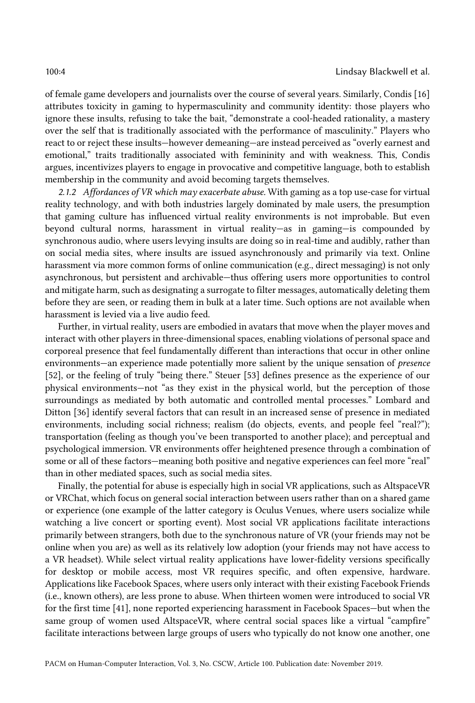of female game developers and journalists over the course of several years. Similarly, Condis [16] attributes toxicity in gaming to hypermasculinity and community identity: those players who ignore these insults, refusing to take the bait, "demonstrate a cool-headed rationality, a mastery over the self that is traditionally associated with the performance of masculinity." Players who react to or reject these insults—however demeaning—are instead perceived as "overly earnest and emotional," traits traditionally associated with femininity and with weakness. This, Condis argues, incentivizes players to engage in provocative and competitive language, both to establish membership in the community and avoid becoming targets themselves.

*2.1.2 Affordances of VR which may exacerbate abuse.* With gaming as a top use-case for virtual reality technology, and with both industries largely dominated by male users, the presumption that gaming culture has influenced virtual reality environments is not improbable. But even beyond cultural norms, harassment in virtual reality—as in gaming—is compounded by synchronous audio, where users levying insults are doing so in real-time and audibly, rather than on social media sites, where insults are issued asynchronously and primarily via text. Online harassment via more common forms of online communication (e.g., direct messaging) is not only asynchronous, but persistent and archivable—thus offering users more opportunities to control and mitigate harm, such as designating a surrogate to filter messages, automatically deleting them before they are seen, or reading them in bulk at a later time. Such options are not available when harassment is levied via a live audio feed.

Further, in virtual reality, users are embodied in avatars that move when the player moves and interact with other players in three-dimensional spaces, enabling violations of personal space and corporeal presence that feel fundamentally different than interactions that occur in other online environments—an experience made potentially more salient by the unique sensation of *presence* [52], or the feeling of truly "being there." Steuer [53] defines presence as the experience of our physical environments—not "as they exist in the physical world, but the perception of those surroundings as mediated by both automatic and controlled mental processes." Lombard and Ditton [36] identify several factors that can result in an increased sense of presence in mediated environments, including social richness; realism (do objects, events, and people feel "real?"); transportation (feeling as though you've been transported to another place); and perceptual and psychological immersion. VR environments offer heightened presence through a combination of some or all of these factors—meaning both positive and negative experiences can feel more "real" than in other mediated spaces, such as social media sites.

Finally, the potential for abuse is especially high in social VR applications, such as AltspaceVR or VRChat, which focus on general social interaction between users rather than on a shared game or experience (one example of the latter category is Oculus Venues, where users socialize while watching a live concert or sporting event). Most social VR applications facilitate interactions primarily between strangers, both due to the synchronous nature of VR (your friends may not be online when you are) as well as its relatively low adoption (your friends may not have access to a VR headset). While select virtual reality applications have lower-fidelity versions specifically for desktop or mobile access, most VR requires specific, and often expensive, hardware. Applications like Facebook Spaces, where users only interact with their existing Facebook Friends (i.e., known others), are less prone to abuse. When thirteen women were introduced to social VR for the first time [41], none reported experiencing harassment in Facebook Spaces—but when the same group of women used AltspaceVR, where central social spaces like a virtual "campfire" facilitate interactions between large groups of users who typically do not know one another, one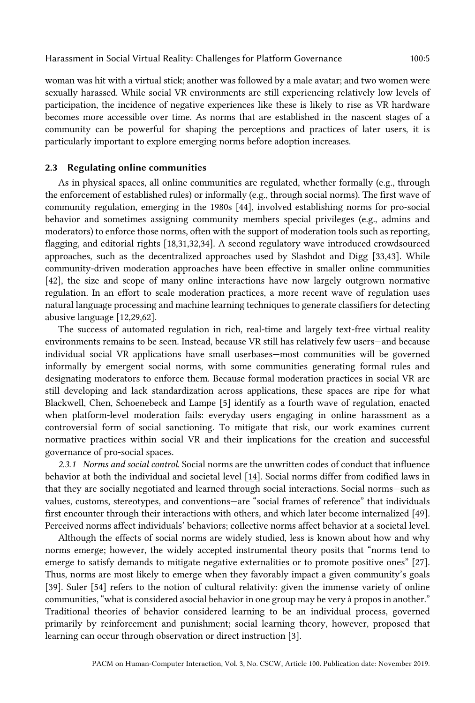woman was hit with a virtual stick; another was followed by a male avatar; and two women were sexually harassed. While social VR environments are still experiencing relatively low levels of participation, the incidence of negative experiences like these is likely to rise as VR hardware becomes more accessible over time. As norms that are established in the nascent stages of a community can be powerful for shaping the perceptions and practices of later users, it is particularly important to explore emerging norms before adoption increases.

### 2.3 Regulating online communities

As in physical spaces, all online communities are regulated, whether formally (e.g., through the enforcement of established rules) or informally (e.g., through social norms). The first wave of community regulation, emerging in the 1980s [44], involved establishing norms for pro-social behavior and sometimes assigning community members special privileges (e.g., admins and moderators) to enforce those norms, often with the support of moderation tools such as reporting, flagging, and editorial rights [18,31,32,34]. A second regulatory wave introduced crowdsourced approaches, such as the decentralized approaches used by Slashdot and Digg [33,43]. While community-driven moderation approaches have been effective in smaller online communities [42], the size and scope of many online interactions have now largely outgrown normative regulation. In an effort to scale moderation practices, a more recent wave of regulation uses natural language processing and machine learning techniques to generate classifiers for detecting abusive language [12,29,62].

The success of automated regulation in rich, real-time and largely text-free virtual reality environments remains to be seen. Instead, because VR still has relatively few users—and because individual social VR applications have small userbases—most communities will be governed informally by emergent social norms, with some communities generating formal rules and designating moderators to enforce them. Because formal moderation practices in social VR are still developing and lack standardization across applications, these spaces are ripe for what Blackwell, Chen, Schoenebeck and Lampe [5] identify as a fourth wave of regulation, enacted when platform-level moderation fails: everyday users engaging in online harassment as a controversial form of social sanctioning. To mitigate that risk, our work examines current normative practices within social VR and their implications for the creation and successful governance of pro-social spaces.

*2.3.1 Norms and social control.* Social norms are the unwritten codes of conduct that influence behavior at both the individual and societal level [14]. Social norms differ from codified laws in that they are socially negotiated and learned through social interactions. Social norms—such as values, customs, stereotypes, and conventions—are "social frames of reference" that individuals first encounter through their interactions with others, and which later become internalized [49]. Perceived norms affect individuals' behaviors; collective norms affect behavior at a societal level.

Although the effects of social norms are widely studied, less is known about how and why norms emerge; however, the widely accepted instrumental theory posits that "norms tend to emerge to satisfy demands to mitigate negative externalities or to promote positive ones" [27]. Thus, norms are most likely to emerge when they favorably impact a given community's goals [39]. Suler [54] refers to the notion of cultural relativity: given the immense variety of online communities, "what is considered asocial behavior in one group may be very à propos in another." Traditional theories of behavior considered learning to be an individual process, governed primarily by reinforcement and punishment; social learning theory, however, proposed that learning can occur through observation or direct instruction [3].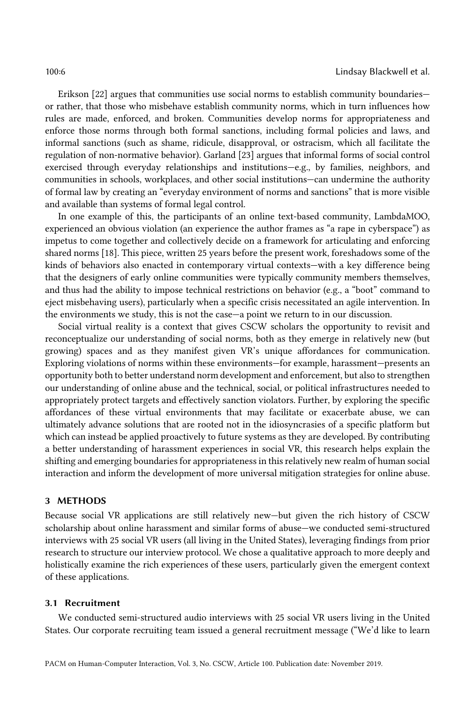Erikson [22] argues that communities use social norms to establish community boundaries or rather, that those who misbehave establish community norms, which in turn influences how rules are made, enforced, and broken. Communities develop norms for appropriateness and enforce those norms through both formal sanctions, including formal policies and laws, and informal sanctions (such as shame, ridicule, disapproval, or ostracism, which all facilitate the regulation of non-normative behavior). Garland [23] argues that informal forms of social control exercised through everyday relationships and institutions—e.g., by families, neighbors, and communities in schools, workplaces, and other social institutions—can undermine the authority of formal law by creating an "everyday environment of norms and sanctions" that is more visible and available than systems of formal legal control.

In one example of this, the participants of an online text-based community, LambdaMOO, experienced an obvious violation (an experience the author frames as "a rape in cyberspace") as impetus to come together and collectively decide on a framework for articulating and enforcing shared norms [18]. This piece, written 25 years before the present work, foreshadows some of the kinds of behaviors also enacted in contemporary virtual contexts—with a key difference being that the designers of early online communities were typically community members themselves, and thus had the ability to impose technical restrictions on behavior (e.g., a "boot" command to eject misbehaving users), particularly when a specific crisis necessitated an agile intervention. In the environments we study, this is not the case—a point we return to in our discussion.

Social virtual reality is a context that gives CSCW scholars the opportunity to revisit and reconceptualize our understanding of social norms, both as they emerge in relatively new (but growing) spaces and as they manifest given VR's unique affordances for communication. Exploring violations of norms within these environments—for example, harassment—presents an opportunity both to better understand norm development and enforcement, but also to strengthen our understanding of online abuse and the technical, social, or political infrastructures needed to appropriately protect targets and effectively sanction violators. Further, by exploring the specific affordances of these virtual environments that may facilitate or exacerbate abuse, we can ultimately advance solutions that are rooted not in the idiosyncrasies of a specific platform but which can instead be applied proactively to future systems as they are developed. By contributing a better understanding of harassment experiences in social VR, this research helps explain the shifting and emerging boundaries for appropriateness in this relatively new realm of human social interaction and inform the development of more universal mitigation strategies for online abuse.

## 3 METHODS

Because social VR applications are still relatively new—but given the rich history of CSCW scholarship about online harassment and similar forms of abuse—we conducted semi-structured interviews with 25 social VR users (all living in the United States), leveraging findings from prior research to structure our interview protocol. We chose a qualitative approach to more deeply and holistically examine the rich experiences of these users, particularly given the emergent context of these applications.

### 3.1 Recruitment

We conducted semi-structured audio interviews with 25 social VR users living in the United States. Our corporate recruiting team issued a general recruitment message ("We'd like to learn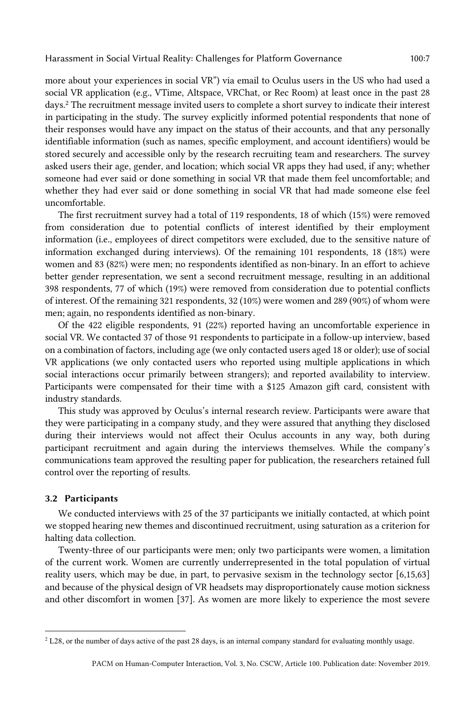more about your experiences in social VR") via email to Oculus users in the US who had used a social VR application (e.g., VTime, Altspace, VRChat, or Rec Room) at least once in the past 28 days.2 The recruitment message invited users to complete a short survey to indicate their interest in participating in the study. The survey explicitly informed potential respondents that none of their responses would have any impact on the status of their accounts, and that any personally identifiable information (such as names, specific employment, and account identifiers) would be stored securely and accessible only by the research recruiting team and researchers. The survey asked users their age, gender, and location; which social VR apps they had used, if any; whether someone had ever said or done something in social VR that made them feel uncomfortable; and whether they had ever said or done something in social VR that had made someone else feel uncomfortable.

The first recruitment survey had a total of 119 respondents, 18 of which (15%) were removed from consideration due to potential conflicts of interest identified by their employment information (i.e., employees of direct competitors were excluded, due to the sensitive nature of information exchanged during interviews). Of the remaining 101 respondents, 18 (18%) were women and 83 (82%) were men; no respondents identified as non-binary. In an effort to achieve better gender representation, we sent a second recruitment message, resulting in an additional 398 respondents, 77 of which (19%) were removed from consideration due to potential conflicts of interest. Of the remaining 321 respondents, 32 (10%) were women and 289 (90%) of whom were men; again, no respondents identified as non-binary.

Of the 422 eligible respondents, 91 (22%) reported having an uncomfortable experience in social VR. We contacted 37 of those 91 respondents to participate in a follow-up interview, based on a combination of factors, including age (we only contacted users aged 18 or older); use of social VR applications (we only contacted users who reported using multiple applications in which social interactions occur primarily between strangers); and reported availability to interview. Participants were compensated for their time with a \$125 Amazon gift card, consistent with industry standards.

This study was approved by Oculus's internal research review. Participants were aware that they were participating in a company study, and they were assured that anything they disclosed during their interviews would not affect their Oculus accounts in any way, both during participant recruitment and again during the interviews themselves. While the company's communications team approved the resulting paper for publication, the researchers retained full control over the reporting of results.

### 3.2 Participants

We conducted interviews with 25 of the 37 participants we initially contacted, at which point we stopped hearing new themes and discontinued recruitment, using saturation as a criterion for halting data collection.

Twenty-three of our participants were men; only two participants were women, a limitation of the current work. Women are currently underrepresented in the total population of virtual reality users, which may be due, in part, to pervasive sexism in the technology sector [6,15,63] and because of the physical design of VR headsets may disproportionately cause motion sickness and other discomfort in women [37]. As women are more likely to experience the most severe

 $2$  L28, or the number of days active of the past 28 days, is an internal company standard for evaluating monthly usage.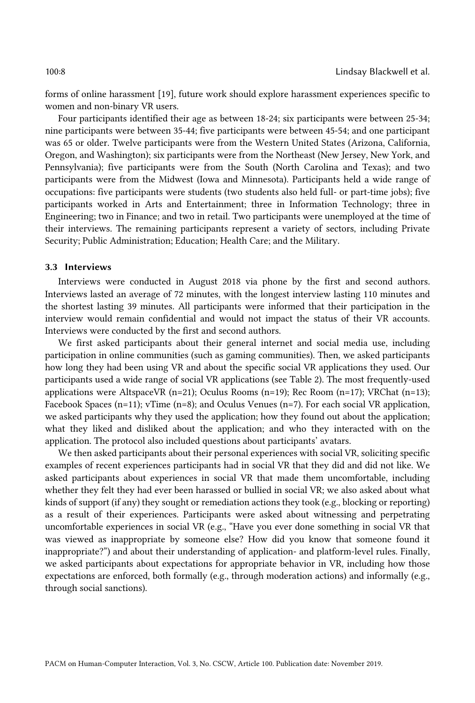forms of online harassment [19], future work should explore harassment experiences specific to women and non-binary VR users.

Four participants identified their age as between 18-24; six participants were between 25-34; nine participants were between 35-44; five participants were between 45-54; and one participant was 65 or older. Twelve participants were from the Western United States (Arizona, California, Oregon, and Washington); six participants were from the Northeast (New Jersey, New York, and Pennsylvania); five participants were from the South (North Carolina and Texas); and two participants were from the Midwest (Iowa and Minnesota). Participants held a wide range of occupations: five participants were students (two students also held full- or part-time jobs); five participants worked in Arts and Entertainment; three in Information Technology; three in Engineering; two in Finance; and two in retail. Two participants were unemployed at the time of their interviews. The remaining participants represent a variety of sectors, including Private Security; Public Administration; Education; Health Care; and the Military.

### 3.3 Interviews

Interviews were conducted in August 2018 via phone by the first and second authors. Interviews lasted an average of 72 minutes, with the longest interview lasting 110 minutes and the shortest lasting 39 minutes. All participants were informed that their participation in the interview would remain confidential and would not impact the status of their VR accounts. Interviews were conducted by the first and second authors.

We first asked participants about their general internet and social media use, including participation in online communities (such as gaming communities). Then, we asked participants how long they had been using VR and about the specific social VR applications they used. Our participants used a wide range of social VR applications (see Table 2). The most frequently-used applications were AltspaceVR (n=21); Oculus Rooms (n=19); Rec Room (n=17); VRChat (n=13); Facebook Spaces (n=11); vTime (n=8); and Oculus Venues (n=7). For each social VR application, we asked participants why they used the application; how they found out about the application; what they liked and disliked about the application; and who they interacted with on the application. The protocol also included questions about participants' avatars.

We then asked participants about their personal experiences with social VR, soliciting specific examples of recent experiences participants had in social VR that they did and did not like. We asked participants about experiences in social VR that made them uncomfortable, including whether they felt they had ever been harassed or bullied in social VR; we also asked about what kinds of support (if any) they sought or remediation actions they took (e.g., blocking or reporting) as a result of their experiences. Participants were asked about witnessing and perpetrating uncomfortable experiences in social VR (e.g., "Have you ever done something in social VR that was viewed as inappropriate by someone else? How did you know that someone found it inappropriate?") and about their understanding of application- and platform-level rules. Finally, we asked participants about expectations for appropriate behavior in VR, including how those expectations are enforced, both formally (e.g., through moderation actions) and informally (e.g., through social sanctions).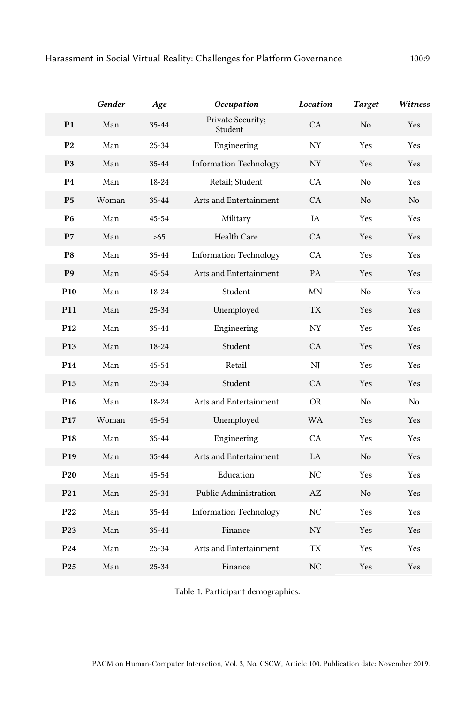|                 | Gender | Age       | Occupation                    | Location    | <b>Target</b>  | Witness    |
|-----------------|--------|-----------|-------------------------------|-------------|----------------|------------|
| P <sub>1</sub>  | Man    | $35 - 44$ | Private Security;<br>Student  | CA          | No             | <b>Yes</b> |
| P <sub>2</sub>  | Man    | $25 - 34$ | Engineering                   | NY          | Yes            | Yes        |
| P <sub>3</sub>  | Man    | $35 - 44$ | <b>Information Technology</b> | NY          | Yes            | Yes        |
| <b>P4</b>       | Man    | 18-24     | Retail; Student               | <b>CA</b>   | No             | <b>Yes</b> |
| P <sub>5</sub>  | Woman  | $35 - 44$ | Arts and Entertainment        | CA          | N <sub>o</sub> | No         |
| <b>P6</b>       | Man    | $45 - 54$ | Military                      | IA          | Yes            | Yes        |
| P7              | Man    | $\geq 65$ | Health Care                   | CA          | Yes            | Yes        |
| P <sub>8</sub>  | Man    | 35-44     | <b>Information Technology</b> | CA          | Yes            | Yes        |
| P9              | Man    | $45 - 54$ | Arts and Entertainment        | PA          | Yes            | Yes        |
| P <sub>10</sub> | Man    | 18-24     | Student                       | $\mbox{MN}$ | N <sub>o</sub> | Yes        |
| P <sub>11</sub> | Man    | $25 - 34$ | Unemployed                    | <b>TX</b>   | Yes            | Yes        |
| P <sub>12</sub> | Man    | $35 - 44$ | Engineering                   | NY          | Yes            | Yes        |
| P <sub>13</sub> | Man    | 18-24     | Student                       | CA          | Yes            | <b>Yes</b> |
| P <sub>14</sub> | Man    | $45 - 54$ | Retail                        | NJ          | Yes            | Yes        |
| P <sub>15</sub> | Man    | $25 - 34$ | Student                       | CA          | Yes            | Yes        |
| P <sub>16</sub> | Man    | 18-24     | Arts and Entertainment        | <b>OR</b>   | No             | No         |
| P <sub>17</sub> | Woman  | $45 - 54$ | Unemployed                    | <b>WA</b>   | Yes            | Yes        |
| P <sub>18</sub> | Man    | 35-44     | Engineering                   | CA          | Yes            | Yes        |
| P <sub>19</sub> | Man    | $35 - 44$ | Arts and Entertainment        | LA          | No             | Yes        |
| <b>P20</b>      | Man    | $45 - 54$ | Education                     | NC.         | Yes            | Yes        |
| P <sub>21</sub> | Man    | $25 - 34$ | Public Administration         | AZ          | No             | Yes        |
| <b>P22</b>      | Man    | $35 - 44$ | <b>Information Technology</b> | NС          | Yes            | Yes        |
| P <sub>23</sub> | Man    | $35 - 44$ | Finance                       | NY          | Yes            | Yes        |
| P24             | Man    | $25 - 34$ | Arts and Entertainment        | TX          | Yes            | Yes        |
| P <sub>25</sub> | Man    | $25 - 34$ | Finance                       | NC          | Yes            | Yes        |

Table 1. Participant demographics.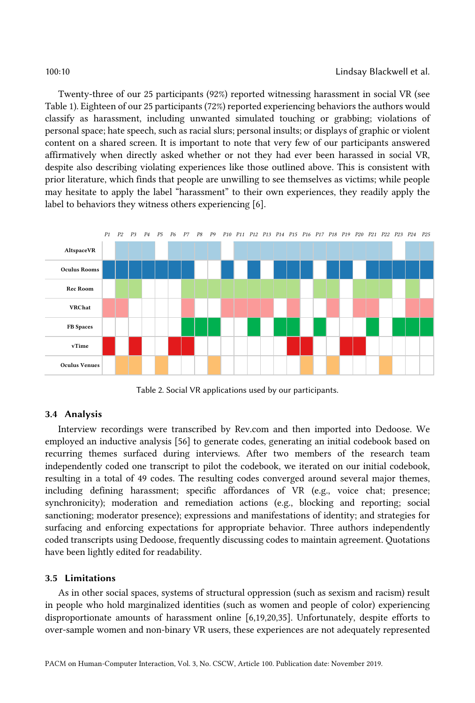Twenty-three of our 25 participants (92%) reported witnessing harassment in social VR (see Table 1). Eighteen of our 25 participants (72%) reported experiencing behaviors the authors would classify as harassment, including unwanted simulated touching or grabbing; violations of personal space; hate speech, such as racial slurs; personal insults; or displays of graphic or violent content on a shared screen. It is important to note that very few of our participants answered affirmatively when directly asked whether or not they had ever been harassed in social VR, despite also describing violating experiences like those outlined above. This is consistent with prior literature, which finds that people are unwilling to see themselves as victims; while people may hesitate to apply the label "harassment" to their own experiences, they readily apply the label to behaviors they witness others experiencing [6].



Table 2. Social VR applications used by our participants.

### 3.4 Analysis

Interview recordings were transcribed by Rev.com and then imported into Dedoose. We employed an inductive analysis [56] to generate codes, generating an initial codebook based on recurring themes surfaced during interviews. After two members of the research team independently coded one transcript to pilot the codebook, we iterated on our initial codebook, resulting in a total of 49 codes. The resulting codes converged around several major themes, including defining harassment; specific affordances of VR (e.g., voice chat; presence; synchronicity); moderation and remediation actions (e.g., blocking and reporting; social sanctioning; moderator presence); expressions and manifestations of identity; and strategies for surfacing and enforcing expectations for appropriate behavior. Three authors independently coded transcripts using Dedoose, frequently discussing codes to maintain agreement. Quotations have been lightly edited for readability.

### 3.5 Limitations

As in other social spaces, systems of structural oppression (such as sexism and racism) result in people who hold marginalized identities (such as women and people of color) experiencing disproportionate amounts of harassment online [6,19,20,35]. Unfortunately, despite efforts to over-sample women and non-binary VR users, these experiences are not adequately represented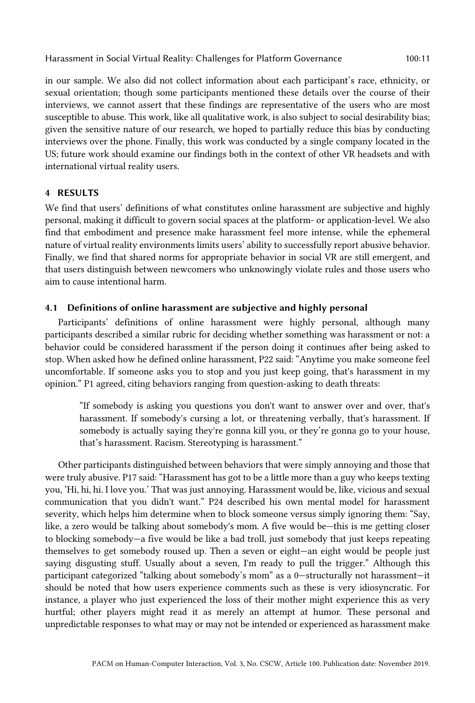in our sample. We also did not collect information about each participant's race, ethnicity, or sexual orientation; though some participants mentioned these details over the course of their interviews, we cannot assert that these findings are representative of the users who are most susceptible to abuse. This work, like all qualitative work, is also subject to social desirability bias; given the sensitive nature of our research, we hoped to partially reduce this bias by conducting interviews over the phone. Finally, this work was conducted by a single company located in the US; future work should examine our findings both in the context of other VR headsets and with international virtual reality users.

### 4 RESULTS

We find that users' definitions of what constitutes online harassment are subjective and highly personal, making it difficult to govern social spaces at the platform- or application-level. We also find that embodiment and presence make harassment feel more intense, while the ephemeral nature of virtual reality environments limits users' ability to successfully report abusive behavior. Finally, we find that shared norms for appropriate behavior in social VR are still emergent, and that users distinguish between newcomers who unknowingly violate rules and those users who aim to cause intentional harm.

### 4.1 Definitions of online harassment are subjective and highly personal

Participants' definitions of online harassment were highly personal, although many participants described a similar rubric for deciding whether something was harassment or not: a behavior could be considered harassment if the person doing it continues after being asked to stop. When asked how he defined online harassment, P22 said: "Anytime you make someone feel uncomfortable. If someone asks you to stop and you just keep going, that's harassment in my opinion." P1 agreed, citing behaviors ranging from question-asking to death threats:

"If somebody is asking you questions you don't want to answer over and over, that's harassment. If somebody's cursing a lot, or threatening verbally, that's harassment. If somebody is actually saying they're gonna kill you, or they're gonna go to your house, that's harassment. Racism. Stereotyping is harassment."

Other participants distinguished between behaviors that were simply annoying and those that were truly abusive. P17 said: "Harassment has got to be a little more than a guy who keeps texting you, 'Hi, hi, hi. I love you.' That was just annoying. Harassment would be, like, vicious and sexual communication that you didn't want." P24 described his own mental model for harassment severity, which helps him determine when to block someone versus simply ignoring them: "Say, like, a zero would be talking about somebody's mom. A five would be—this is me getting closer to blocking somebody—a five would be like a bad troll, just somebody that just keeps repeating themselves to get somebody roused up. Then a seven or eight—an eight would be people just saying disgusting stuff. Usually about a seven, I'm ready to pull the trigger." Although this participant categorized "talking about somebody's mom" as a 0—structurally not harassment—it should be noted that how users experience comments such as these is very idiosyncratic. For instance, a player who just experienced the loss of their mother might experience this as very hurtful; other players might read it as merely an attempt at humor. These personal and unpredictable responses to what may or may not be intended or experienced as harassment make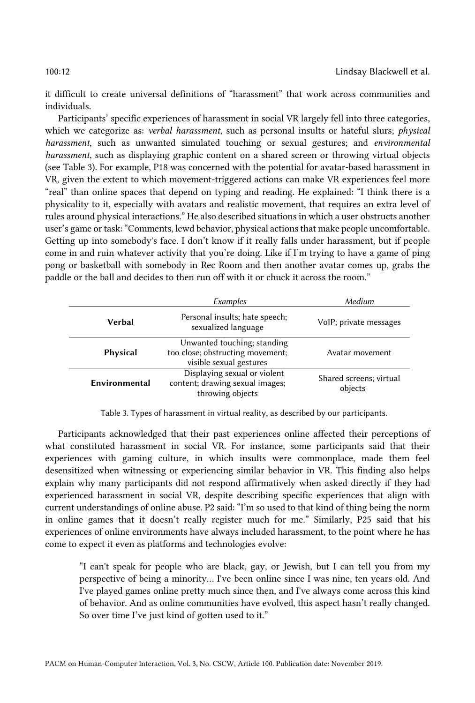it difficult to create universal definitions of "harassment" that work across communities and individuals.

Participants' specific experiences of harassment in social VR largely fell into three categories, which we categorize as: *verbal harassment*, such as personal insults or hateful slurs; *physical harassment*, such as unwanted simulated touching or sexual gestures; and *environmental harassment*, such as displaying graphic content on a shared screen or throwing virtual objects (see Table 3). For example, P18 was concerned with the potential for avatar-based harassment in VR, given the extent to which movement-triggered actions can make VR experiences feel more "real" than online spaces that depend on typing and reading. He explained: "I think there is a physicality to it, especially with avatars and realistic movement, that requires an extra level of rules around physical interactions." He also described situations in which a user obstructs another user's game or task: "Comments, lewd behavior, physical actions that make people uncomfortable. Getting up into somebody's face. I don't know if it really falls under harassment, but if people come in and ruin whatever activity that you're doing. Like if I'm trying to have a game of ping pong or basketball with somebody in Rec Room and then another avatar comes up, grabs the paddle or the ball and decides to then run off with it or chuck it across the room."

|               | Examples                                                                                   | Medium                             |
|---------------|--------------------------------------------------------------------------------------------|------------------------------------|
| Verbal        | Personal insults; hate speech;<br>sexualized language                                      | VolP; private messages             |
| Physical      | Unwanted touching; standing<br>too close; obstructing movement;<br>visible sexual gestures | Avatar movement                    |
| Environmental | Displaying sexual or violent<br>content; drawing sexual images;<br>throwing objects        | Shared screens; virtual<br>objects |

Table 3. Types of harassment in virtual reality, as described by our participants.

Participants acknowledged that their past experiences online affected their perceptions of what constituted harassment in social VR. For instance, some participants said that their experiences with gaming culture, in which insults were commonplace, made them feel desensitized when witnessing or experiencing similar behavior in VR. This finding also helps explain why many participants did not respond affirmatively when asked directly if they had experienced harassment in social VR, despite describing specific experiences that align with current understandings of online abuse. P2 said: "I'm so used to that kind of thing being the norm in online games that it doesn't really register much for me." Similarly, P25 said that his experiences of online environments have always included harassment, to the point where he has come to expect it even as platforms and technologies evolve:

"I can't speak for people who are black, gay, or Jewish, but I can tell you from my perspective of being a minority… I've been online since I was nine, ten years old. And I've played games online pretty much since then, and I've always come across this kind of behavior. And as online communities have evolved, this aspect hasn't really changed. So over time I've just kind of gotten used to it."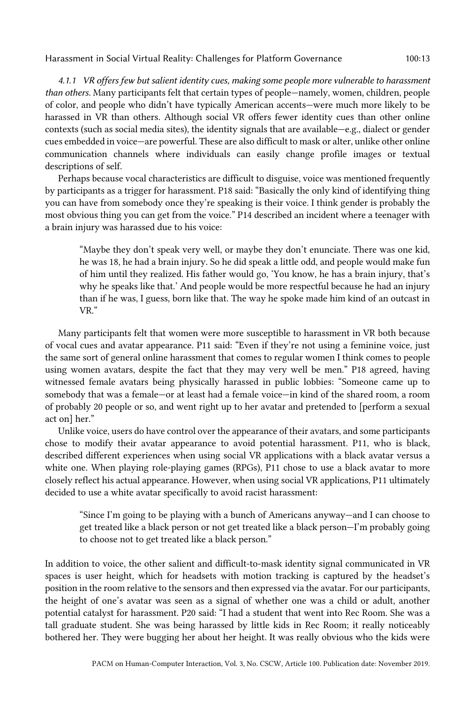*4.1.1 VR offers few but salient identity cues, making some people more vulnerable to harassment than others.* Many participants felt that certain types of people—namely, women, children, people of color, and people who didn't have typically American accents—were much more likely to be harassed in VR than others. Although social VR offers fewer identity cues than other online contexts (such as social media sites), the identity signals that are available—e.g., dialect or gender cues embedded in voice—are powerful. These are also difficult to mask or alter, unlike other online communication channels where individuals can easily change profile images or textual descriptions of self.

Perhaps because vocal characteristics are difficult to disguise, voice was mentioned frequently by participants as a trigger for harassment. P18 said: "Basically the only kind of identifying thing you can have from somebody once they're speaking is their voice. I think gender is probably the most obvious thing you can get from the voice." P14 described an incident where a teenager with a brain injury was harassed due to his voice:

"Maybe they don't speak very well, or maybe they don't enunciate. There was one kid, he was 18, he had a brain injury. So he did speak a little odd, and people would make fun of him until they realized. His father would go, 'You know, he has a brain injury, that's why he speaks like that.' And people would be more respectful because he had an injury than if he was, I guess, born like that. The way he spoke made him kind of an outcast in VR."

Many participants felt that women were more susceptible to harassment in VR both because of vocal cues and avatar appearance. P11 said: "Even if they're not using a feminine voice, just the same sort of general online harassment that comes to regular women I think comes to people using women avatars, despite the fact that they may very well be men." P18 agreed, having witnessed female avatars being physically harassed in public lobbies: "Someone came up to somebody that was a female—or at least had a female voice—in kind of the shared room, a room of probably 20 people or so, and went right up to her avatar and pretended to [perform a sexual act on] her."

Unlike voice, users do have control over the appearance of their avatars, and some participants chose to modify their avatar appearance to avoid potential harassment. P11, who is black, described different experiences when using social VR applications with a black avatar versus a white one. When playing role-playing games (RPGs), P11 chose to use a black avatar to more closely reflect his actual appearance. However, when using social VR applications, P11 ultimately decided to use a white avatar specifically to avoid racist harassment:

"Since I'm going to be playing with a bunch of Americans anyway—and I can choose to get treated like a black person or not get treated like a black person—I'm probably going to choose not to get treated like a black person."

In addition to voice, the other salient and difficult-to-mask identity signal communicated in VR spaces is user height, which for headsets with motion tracking is captured by the headset's position in the room relative to the sensors and then expressed via the avatar. For our participants, the height of one's avatar was seen as a signal of whether one was a child or adult, another potential catalyst for harassment. P20 said: "I had a student that went into Rec Room. She was a tall graduate student. She was being harassed by little kids in Rec Room; it really noticeably bothered her. They were bugging her about her height. It was really obvious who the kids were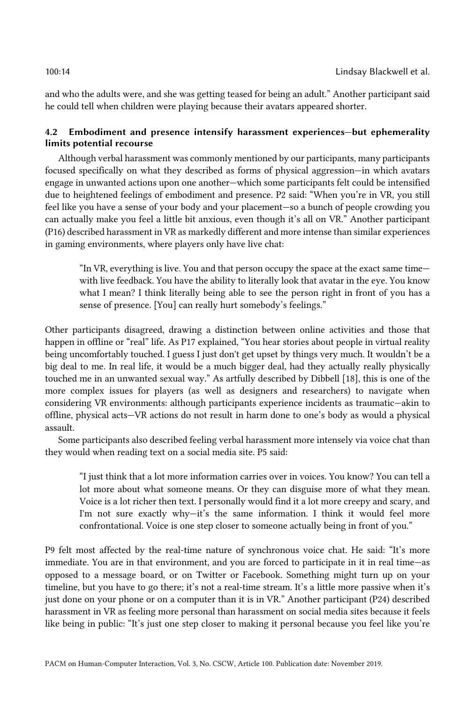and who the adults were, and she was getting teased for being an adult." Another participant said he could tell when children were playing because their avatars appeared shorter.

# 4.2 Embodiment and presence intensify harassment experiences—but ephemerality limits potential recourse

Although verbal harassment was commonly mentioned by our participants, many participants focused specifically on what they described as forms of physical aggression—in which avatars engage in unwanted actions upon one another—which some participants felt could be intensified due to heightened feelings of embodiment and presence. P2 said: "When you're in VR, you still feel like you have a sense of your body and your placement—so a bunch of people crowding you can actually make you feel a little bit anxious, even though it's all on VR." Another participant (P16) described harassment in VR as markedly different and more intense than similar experiences in gaming environments, where players only have live chat:

"In VR, everything is live. You and that person occupy the space at the exact same time with live feedback. You have the ability to literally look that avatar in the eye. You know what I mean? I think literally being able to see the person right in front of you has a sense of presence. [You] can really hurt somebody's feelings."

Other participants disagreed, drawing a distinction between online activities and those that happen in offline or "real" life. As P17 explained, "You hear stories about people in virtual reality being uncomfortably touched. I guess I just don't get upset by things very much. It wouldn't be a big deal to me. In real life, it would be a much bigger deal, had they actually really physically touched me in an unwanted sexual way." As artfully described by Dibbell [18], this is one of the more complex issues for players (as well as designers and researchers) to navigate when considering VR environments: although participants experience incidents as traumatic—akin to offline, physical acts—VR actions do not result in harm done to one's body as would a physical assault.

Some participants also described feeling verbal harassment more intensely via voice chat than they would when reading text on a social media site. P5 said:

"I just think that a lot more information carries over in voices. You know? You can tell a lot more about what someone means. Or they can disguise more of what they mean. Voice is a lot richer then text. I personally would find it a lot more creepy and scary, and I'm not sure exactly why—it's the same information. I think it would feel more confrontational. Voice is one step closer to someone actually being in front of you."

P9 felt most affected by the real-time nature of synchronous voice chat. He said: "It's more immediate. You are in that environment, and you are forced to participate in it in real time—as opposed to a message board, or on Twitter or Facebook. Something might turn up on your timeline, but you have to go there; it's not a real-time stream. It's a little more passive when it's just done on your phone or on a computer than it is in VR." Another participant (P24) described harassment in VR as feeling more personal than harassment on social media sites because it feels like being in public: "It's just one step closer to making it personal because you feel like you're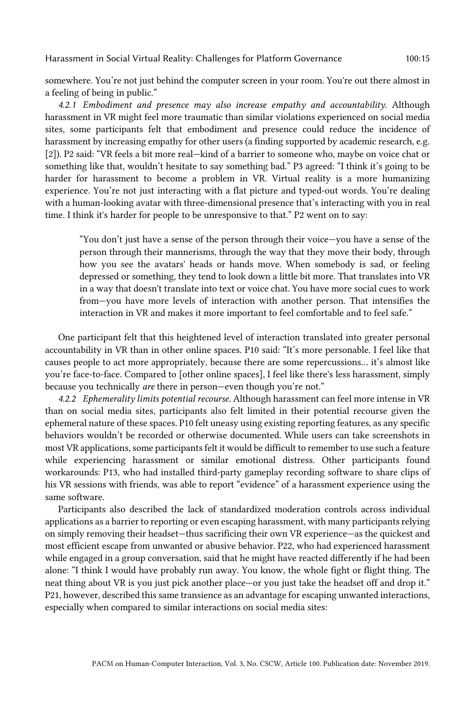somewhere. You're not just behind the computer screen in your room. You're out there almost in a feeling of being in public."

*4.2.1 Embodiment and presence may also increase empathy and accountability.* Although harassment in VR might feel more traumatic than similar violations experienced on social media sites, some participants felt that embodiment and presence could reduce the incidence of harassment by increasing empathy for other users (a finding supported by academic research, e.g. [2]). P2 said: "VR feels a bit more real—kind of a barrier to someone who, maybe on voice chat or something like that, wouldn't hesitate to say something bad." P3 agreed: "I think it's going to be harder for harassment to become a problem in VR. Virtual reality is a more humanizing experience. You're not just interacting with a flat picture and typed-out words. You're dealing with a human-looking avatar with three-dimensional presence that's interacting with you in real time. I think it's harder for people to be unresponsive to that." P2 went on to say:

"You don't just have a sense of the person through their voice—you have a sense of the person through their mannerisms, through the way that they move their body, through how you see the avatars' heads or hands move. When somebody is sad, or feeling depressed or something, they tend to look down a little bit more. That translates into VR in a way that doesn't translate into text or voice chat. You have more social cues to work from—you have more levels of interaction with another person. That intensifies the interaction in VR and makes it more important to feel comfortable and to feel safe."

One participant felt that this heightened level of interaction translated into greater personal accountability in VR than in other online spaces. P10 said: "It's more personable. I feel like that causes people to act more appropriately, because there are some repercussions… it's almost like you're face-to-face. Compared to [other online spaces], I feel like there's less harassment, simply because you technically *are* there in person—even though you're not."

*4.2.2 Ephemerality limits potential recourse.* Although harassment can feel more intense in VR than on social media sites, participants also felt limited in their potential recourse given the ephemeral nature of these spaces. P10 felt uneasy using existing reporting features, as any specific behaviors wouldn't be recorded or otherwise documented. While users can take screenshots in most VR applications, some participants felt it would be difficult to remember to use such a feature while experiencing harassment or similar emotional distress. Other participants found workarounds: P13, who had installed third-party gameplay recording software to share clips of his VR sessions with friends, was able to report "evidence" of a harassment experience using the same software.

Participants also described the lack of standardized moderation controls across individual applications as a barrier to reporting or even escaping harassment, with many participants relying on simply removing their headset—thus sacrificing their own VR experience—as the quickest and most efficient escape from unwanted or abusive behavior. P22, who had experienced harassment while engaged in a group conversation, said that he might have reacted differently if he had been alone: "I think I would have probably run away. You know, the whole fight or flight thing. The neat thing about VR is you just pick another place—or you just take the headset off and drop it." P21, however, described this same transience as an advantage for escaping unwanted interactions, especially when compared to similar interactions on social media sites: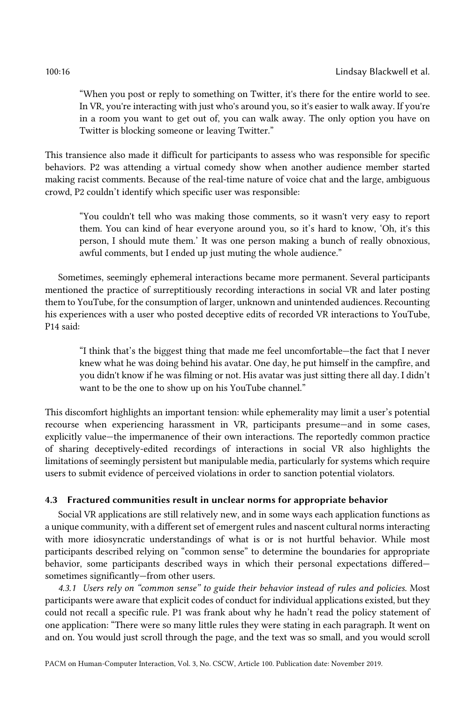"When you post or reply to something on Twitter, it's there for the entire world to see. In VR, you're interacting with just who's around you, so it's easier to walk away. If you're in a room you want to get out of, you can walk away. The only option you have on Twitter is blocking someone or leaving Twitter."

This transience also made it difficult for participants to assess who was responsible for specific behaviors. P2 was attending a virtual comedy show when another audience member started making racist comments. Because of the real-time nature of voice chat and the large, ambiguous crowd, P2 couldn't identify which specific user was responsible:

"You couldn't tell who was making those comments, so it wasn't very easy to report them. You can kind of hear everyone around you, so it's hard to know, 'Oh, it's this person, I should mute them.' It was one person making a bunch of really obnoxious, awful comments, but I ended up just muting the whole audience."

Sometimes, seemingly ephemeral interactions became more permanent. Several participants mentioned the practice of surreptitiously recording interactions in social VR and later posting them to YouTube, for the consumption of larger, unknown and unintended audiences. Recounting his experiences with a user who posted deceptive edits of recorded VR interactions to YouTube, P14 said:

"I think that's the biggest thing that made me feel uncomfortable—the fact that I never knew what he was doing behind his avatar. One day, he put himself in the campfire, and you didn't know if he was filming or not. His avatar was just sitting there all day. I didn't want to be the one to show up on his YouTube channel."

This discomfort highlights an important tension: while ephemerality may limit a user's potential recourse when experiencing harassment in VR, participants presume—and in some cases, explicitly value—the impermanence of their own interactions. The reportedly common practice of sharing deceptively-edited recordings of interactions in social VR also highlights the limitations of seemingly persistent but manipulable media, particularly for systems which require users to submit evidence of perceived violations in order to sanction potential violators.

# 4.3 Fractured communities result in unclear norms for appropriate behavior

Social VR applications are still relatively new, and in some ways each application functions as a unique community, with a different set of emergent rules and nascent cultural normsinteracting with more idiosyncratic understandings of what is or is not hurtful behavior. While most participants described relying on "common sense" to determine the boundaries for appropriate behavior, some participants described ways in which their personal expectations differed sometimes significantly—from other users.

*4.3.1 Users rely on "common sense" to guide their behavior instead of rules and policies.* Most participants were aware that explicit codes of conduct for individual applications existed, but they could not recall a specific rule. P1 was frank about why he hadn't read the policy statement of one application: "There were so many little rules they were stating in each paragraph. It went on and on. You would just scroll through the page, and the text was so small, and you would scroll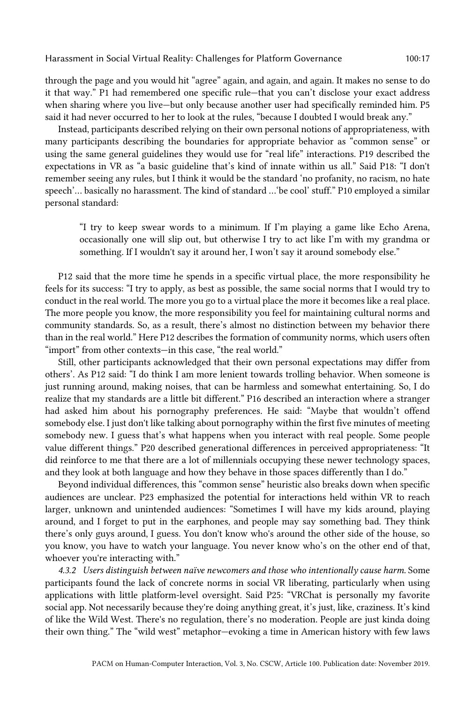through the page and you would hit "agree" again, and again, and again. It makes no sense to do it that way." P1 had remembered one specific rule—that you can't disclose your exact address when sharing where you live—but only because another user had specifically reminded him. P5 said it had never occurred to her to look at the rules, "because I doubted I would break any."

Instead, participants described relying on their own personal notions of appropriateness, with many participants describing the boundaries for appropriate behavior as "common sense" or using the same general guidelines they would use for "real life" interactions. P19 described the expectations in VR as "a basic guideline that's kind of innate within us all." Said P18: "I don't remember seeing any rules, but I think it would be the standard 'no profanity, no racism, no hate speech'… basically no harassment. The kind of standard …'be cool' stuff." P10 employed a similar personal standard:

"I try to keep swear words to a minimum. If I'm playing a game like Echo Arena, occasionally one will slip out, but otherwise I try to act like I'm with my grandma or something. If I wouldn't say it around her, I won't say it around somebody else."

P12 said that the more time he spends in a specific virtual place, the more responsibility he feels for its success: "I try to apply, as best as possible, the same social norms that I would try to conduct in the real world. The more you go to a virtual place the more it becomes like a real place. The more people you know, the more responsibility you feel for maintaining cultural norms and community standards. So, as a result, there's almost no distinction between my behavior there than in the real world." Here P12 describes the formation of community norms, which users often "import" from other contexts—in this case, "the real world."

Still, other participants acknowledged that their own personal expectations may differ from others'. As P12 said: "I do think I am more lenient towards trolling behavior. When someone is just running around, making noises, that can be harmless and somewhat entertaining. So, I do realize that my standards are a little bit different." P16 described an interaction where a stranger had asked him about his pornography preferences. He said: "Maybe that wouldn't offend somebody else. I just don't like talking about pornography within the first five minutes of meeting somebody new. I guess that's what happens when you interact with real people. Some people value different things." P20 described generational differences in perceived appropriateness: "It did reinforce to me that there are a lot of millennials occupying these newer technology spaces, and they look at both language and how they behave in those spaces differently than I do."

Beyond individual differences, this "common sense" heuristic also breaks down when specific audiences are unclear. P23 emphasized the potential for interactions held within VR to reach larger, unknown and unintended audiences: "Sometimes I will have my kids around, playing around, and I forget to put in the earphones, and people may say something bad. They think there's only guys around, I guess. You don't know who's around the other side of the house, so you know, you have to watch your language. You never know who's on the other end of that, whoever you're interacting with."

*4.3.2 Users distinguish between naïve newcomers and those who intentionally cause harm.* Some participants found the lack of concrete norms in social VR liberating, particularly when using applications with little platform-level oversight. Said P25: "VRChat is personally my favorite social app. Not necessarily because they're doing anything great, it's just, like, craziness. It's kind of like the Wild West. There's no regulation, there's no moderation. People are just kinda doing their own thing." The "wild west" metaphor—evoking a time in American history with few laws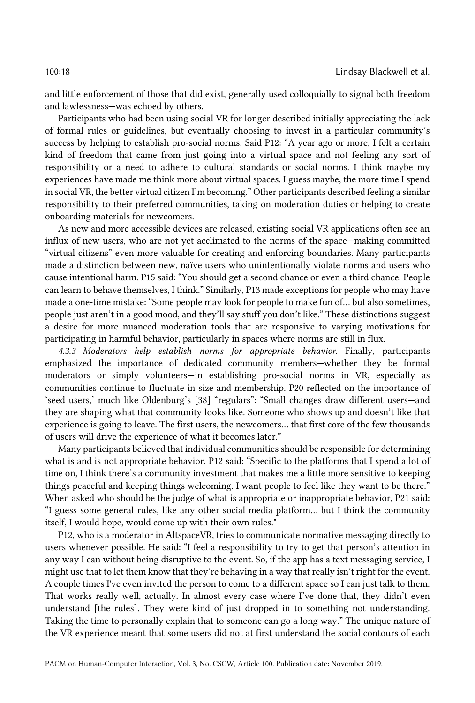and little enforcement of those that did exist, generally used colloquially to signal both freedom and lawlessness—was echoed by others.

Participants who had been using social VR for longer described initially appreciating the lack of formal rules or guidelines, but eventually choosing to invest in a particular community's success by helping to establish pro-social norms. Said P12: "A year ago or more, I felt a certain kind of freedom that came from just going into a virtual space and not feeling any sort of responsibility or a need to adhere to cultural standards or social norms. I think maybe my experiences have made me think more about virtual spaces. I guess maybe, the more time I spend in social VR, the better virtual citizen I'm becoming." Other participants described feeling a similar responsibility to their preferred communities, taking on moderation duties or helping to create onboarding materials for newcomers.

As new and more accessible devices are released, existing social VR applications often see an influx of new users, who are not yet acclimated to the norms of the space—making committed "virtual citizens" even more valuable for creating and enforcing boundaries. Many participants made a distinction between new, naïve users who unintentionally violate norms and users who cause intentional harm. P15 said: "You should get a second chance or even a third chance. People can learn to behave themselves, I think." Similarly, P13 made exceptions for people who may have made a one-time mistake: "Some people may look for people to make fun of… but also sometimes, people just aren't in a good mood, and they'll say stuff you don't like." These distinctions suggest a desire for more nuanced moderation tools that are responsive to varying motivations for participating in harmful behavior, particularly in spaces where norms are still in flux.

*4.3.3 Moderators help establish norms for appropriate behavior.* Finally, participants emphasized the importance of dedicated community members—whether they be formal moderators or simply volunteers—in establishing pro-social norms in VR, especially as communities continue to fluctuate in size and membership. P20 reflected on the importance of 'seed users,' much like Oldenburg's [38] "regulars": "Small changes draw different users—and they are shaping what that community looks like. Someone who shows up and doesn't like that experience is going to leave. The first users, the newcomers… that first core of the few thousands of users will drive the experience of what it becomes later."

Many participants believed that individual communities should be responsible for determining what is and is not appropriate behavior. P12 said: "Specific to the platforms that I spend a lot of time on, I think there's a community investment that makes me a little more sensitive to keeping things peaceful and keeping things welcoming. I want people to feel like they want to be there." When asked who should be the judge of what is appropriate or inappropriate behavior, P21 said: "I guess some general rules, like any other social media platform… but I think the community itself, I would hope, would come up with their own rules."

P12, who is a moderator in AltspaceVR, tries to communicate normative messaging directly to users whenever possible. He said: "I feel a responsibility to try to get that person's attention in any way I can without being disruptive to the event. So, if the app has a text messaging service, I might use that to let them know that they're behaving in a way that really isn't right for the event. A couple times I've even invited the person to come to a different space so I can just talk to them. That works really well, actually. In almost every case where I've done that, they didn't even understand [the rules]. They were kind of just dropped in to something not understanding. Taking the time to personally explain that to someone can go a long way." The unique nature of the VR experience meant that some users did not at first understand the social contours of each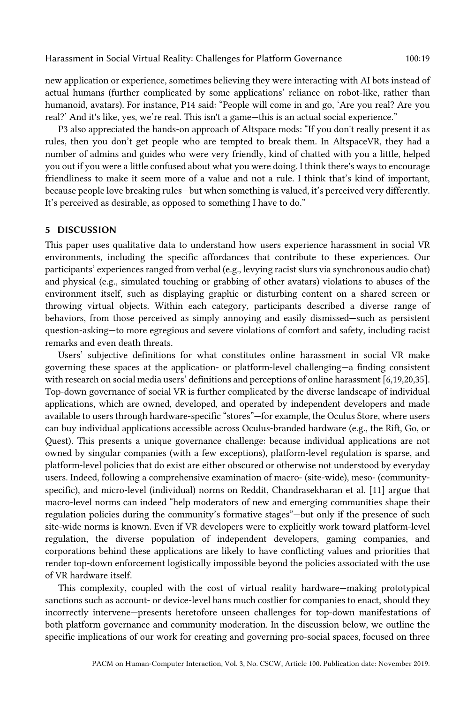new application or experience, sometimes believing they were interacting with AI bots instead of actual humans (further complicated by some applications' reliance on robot-like, rather than humanoid, avatars). For instance, P14 said: "People will come in and go, 'Are you real? Are you real?' And it's like, yes, we're real. This isn't a game—this is an actual social experience."

P3 also appreciated the hands-on approach of Altspace mods: "If you don't really present it as rules, then you don't get people who are tempted to break them. In AltspaceVR, they had a number of admins and guides who were very friendly, kind of chatted with you a little, helped you out if you were a little confused about what you were doing. I think there's ways to encourage friendliness to make it seem more of a value and not a rule. I think that's kind of important, because people love breaking rules—but when something is valued, it's perceived very differently. It's perceived as desirable, as opposed to something I have to do."

### 5 DISCUSSION

This paper uses qualitative data to understand how users experience harassment in social VR environments, including the specific affordances that contribute to these experiences. Our participants' experiences ranged from verbal (e.g., levying racist slurs via synchronous audio chat) and physical (e.g., simulated touching or grabbing of other avatars) violations to abuses of the environment itself, such as displaying graphic or disturbing content on a shared screen or throwing virtual objects. Within each category, participants described a diverse range of behaviors, from those perceived as simply annoying and easily dismissed—such as persistent question-asking—to more egregious and severe violations of comfort and safety, including racist remarks and even death threats.

Users' subjective definitions for what constitutes online harassment in social VR make governing these spaces at the application- or platform-level challenging—a finding consistent with research on social media users' definitions and perceptions of online harassment [6,19,20,35]. Top-down governance of social VR is further complicated by the diverse landscape of individual applications, which are owned, developed, and operated by independent developers and made available to users through hardware-specific "stores"—for example, the Oculus Store, where users can buy individual applications accessible across Oculus-branded hardware (e.g., the Rift, Go, or Quest). This presents a unique governance challenge: because individual applications are not owned by singular companies (with a few exceptions), platform-level regulation is sparse, and platform-level policies that do exist are either obscured or otherwise not understood by everyday users. Indeed, following a comprehensive examination of macro- (site-wide), meso- (communityspecific), and micro-level (individual) norms on Reddit, Chandrasekharan et al. [11] argue that macro-level norms can indeed "help moderators of new and emerging communities shape their regulation policies during the community's formative stages"—but only if the presence of such site-wide norms is known. Even if VR developers were to explicitly work toward platform-level regulation, the diverse population of independent developers, gaming companies, and corporations behind these applications are likely to have conflicting values and priorities that render top-down enforcement logistically impossible beyond the policies associated with the use of VR hardware itself.

This complexity, coupled with the cost of virtual reality hardware—making prototypical sanctions such as account- or device-level bans much costlier for companies to enact, should they incorrectly intervene—presents heretofore unseen challenges for top-down manifestations of both platform governance and community moderation. In the discussion below, we outline the specific implications of our work for creating and governing pro-social spaces, focused on three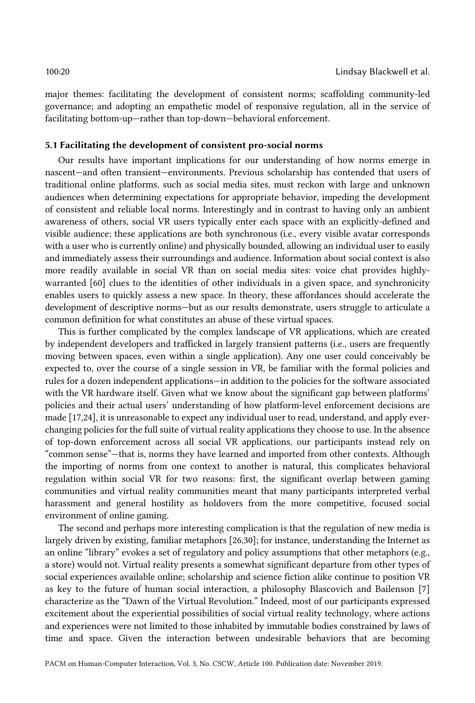major themes: facilitating the development of consistent norms; scaffolding community-led governance; and adopting an empathetic model of responsive regulation, all in the service of facilitating bottom-up—rather than top-down—behavioral enforcement.

### 5.1 Facilitating the development of consistent pro-social norms

Our results have important implications for our understanding of how norms emerge in nascent—and often transient—environments. Previous scholarship has contended that users of traditional online platforms, such as social media sites, must reckon with large and unknown audiences when determining expectations for appropriate behavior, impeding the development of consistent and reliable local norms. Interestingly and in contrast to having only an ambient awareness of others, social VR users typically enter each space with an explicitly-defined and visible audience; these applications are both synchronous (i.e., every visible avatar corresponds with a user who is currently online) and physically bounded, allowing an individual user to easily and immediately assess their surroundings and audience. Information about social context is also more readily available in social VR than on social media sites: voice chat provides highlywarranted [60] clues to the identities of other individuals in a given space, and synchronicity enables users to quickly assess a new space. In theory, these affordances should accelerate the development of descriptive norms—but as our results demonstrate, users struggle to articulate a common definition for what constitutes an abuse of these virtual spaces.

This is further complicated by the complex landscape of VR applications, which are created by independent developers and trafficked in largely transient patterns (i.e., users are frequently moving between spaces, even within a single application). Any one user could conceivably be expected to, over the course of a single session in VR, be familiar with the formal policies and rules for a dozen independent applications—in addition to the policies for the software associated with the VR hardware itself. Given what we know about the significant gap between platforms' policies and their actual users' understanding of how platform-level enforcement decisions are made [17,24], it is unreasonable to expect any individual user to read, understand, and apply everchanging policies for the full suite of virtual reality applications they choose to use. In the absence of top-down enforcement across all social VR applications, our participants instead rely on "common sense"—that is, norms they have learned and imported from other contexts. Although the importing of norms from one context to another is natural, this complicates behavioral regulation within social VR for two reasons: first, the significant overlap between gaming communities and virtual reality communities meant that many participants interpreted verbal harassment and general hostility as holdovers from the more competitive, focused social environment of online gaming.

The second and perhaps more interesting complication is that the regulation of new media is largely driven by existing, familiar metaphors [26,30]; for instance, understanding the Internet as an online "library" evokes a set of regulatory and policy assumptions that other metaphors (e.g., a store) would not. Virtual reality presents a somewhat significant departure from other types of social experiences available online; scholarship and science fiction alike continue to position VR as key to the future of human social interaction, a philosophy Blascovich and Bailenson [7] characterize as the "Dawn of the Virtual Revolution." Indeed, most of our participants expressed excitement about the experiential possibilities of social virtual reality technology, where actions and experiences were not limited to those inhabited by immutable bodies constrained by laws of time and space. Given the interaction between undesirable behaviors that are becoming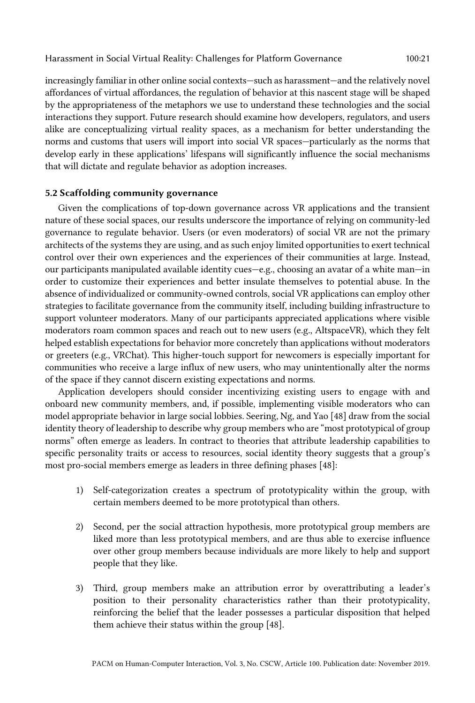increasingly familiar in other online social contexts—such as harassment—and the relatively novel affordances of virtual affordances, the regulation of behavior at this nascent stage will be shaped by the appropriateness of the metaphors we use to understand these technologies and the social interactions they support. Future research should examine how developers, regulators, and users alike are conceptualizing virtual reality spaces, as a mechanism for better understanding the norms and customs that users will import into social VR spaces—particularly as the norms that develop early in these applications' lifespans will significantly influence the social mechanisms that will dictate and regulate behavior as adoption increases.

### 5.2 Scaffolding community governance

Given the complications of top-down governance across VR applications and the transient nature of these social spaces, our results underscore the importance of relying on community-led governance to regulate behavior. Users (or even moderators) of social VR are not the primary architects of the systems they are using, and as such enjoy limited opportunities to exert technical control over their own experiences and the experiences of their communities at large. Instead, our participants manipulated available identity cues—e.g., choosing an avatar of a white man—in order to customize their experiences and better insulate themselves to potential abuse. In the absence of individualized or community-owned controls, social VR applications can employ other strategies to facilitate governance from the community itself, including building infrastructure to support volunteer moderators. Many of our participants appreciated applications where visible moderators roam common spaces and reach out to new users (e.g., AltspaceVR), which they felt helped establish expectations for behavior more concretely than applications without moderators or greeters (e.g., VRChat). This higher-touch support for newcomers is especially important for communities who receive a large influx of new users, who may unintentionally alter the norms of the space if they cannot discern existing expectations and norms.

Application developers should consider incentivizing existing users to engage with and onboard new community members, and, if possible, implementing visible moderators who can model appropriate behavior in large social lobbies. Seering, Ng, and Yao [48] draw from the social identity theory of leadership to describe why group members who are "most prototypical of group norms" often emerge as leaders. In contract to theories that attribute leadership capabilities to specific personality traits or access to resources, social identity theory suggests that a group's most pro-social members emerge as leaders in three defining phases [48]:

- 1) Self-categorization creates a spectrum of prototypicality within the group, with certain members deemed to be more prototypical than others.
- 2) Second, per the social attraction hypothesis, more prototypical group members are liked more than less prototypical members, and are thus able to exercise influence over other group members because individuals are more likely to help and support people that they like.
- 3) Third, group members make an attribution error by overattributing a leader's position to their personality characteristics rather than their prototypicality, reinforcing the belief that the leader possesses a particular disposition that helped them achieve their status within the group [48].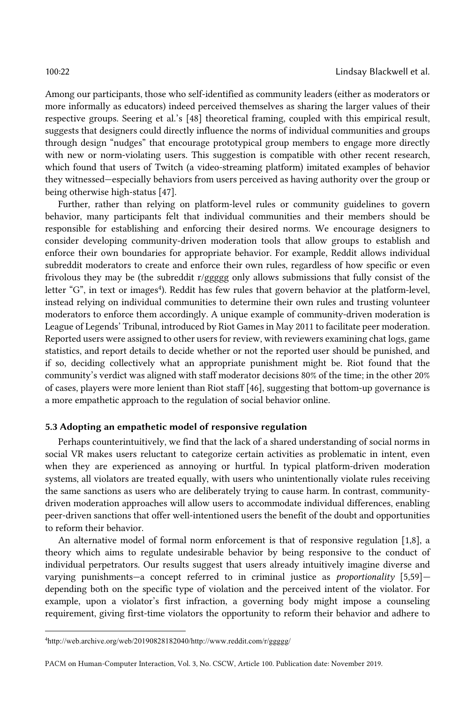Among our participants, those who self-identified as community leaders (either as moderators or more informally as educators) indeed perceived themselves as sharing the larger values of their respective groups. Seering et al.'s [48] theoretical framing, coupled with this empirical result, suggests that designers could directly influence the norms of individual communities and groups through design "nudges" that encourage prototypical group members to engage more directly with new or norm-violating users. This suggestion is compatible with other recent research, which found that users of Twitch (a video-streaming platform) imitated examples of behavior they witnessed—especially behaviors from users perceived as having authority over the group or being otherwise high-status [47].

Further, rather than relying on platform-level rules or community guidelines to govern behavior, many participants felt that individual communities and their members should be responsible for establishing and enforcing their desired norms. We encourage designers to consider developing community-driven moderation tools that allow groups to establish and enforce their own boundaries for appropriate behavior. For example, Reddit allows individual subreddit moderators to create and enforce their own rules, regardless of how specific or even frivolous they may be (the subreddit r/ggggg only allows submissions that fully consist of the letter "G", in text or images<sup>4</sup>). Reddit has few rules that govern behavior at the platform-level, instead relying on individual communities to determine their own rules and trusting volunteer moderators to enforce them accordingly. A unique example of community-driven moderation is League of Legends' Tribunal, introduced by Riot Games in May 2011 to facilitate peer moderation. Reported users were assigned to other users for review, with reviewers examining chat logs, game statistics, and report details to decide whether or not the reported user should be punished, and if so, deciding collectively what an appropriate punishment might be. Riot found that the community's verdict was aligned with staff moderator decisions 80% of the time; in the other 20% of cases, players were more lenient than Riot staff [46], suggesting that bottom-up governance is a more empathetic approach to the regulation of social behavior online.

# 5.3 Adopting an empathetic model of responsive regulation

Perhaps counterintuitively, we find that the lack of a shared understanding of social norms in social VR makes users reluctant to categorize certain activities as problematic in intent, even when they are experienced as annoying or hurtful. In typical platform-driven moderation systems, all violators are treated equally, with users who unintentionally violate rules receiving the same sanctions as users who are deliberately trying to cause harm. In contrast, communitydriven moderation approaches will allow users to accommodate individual differences, enabling peer-driven sanctions that offer well-intentioned users the benefit of the doubt and opportunities to reform their behavior.

An alternative model of formal norm enforcement is that of responsive regulation [1,8], a theory which aims to regulate undesirable behavior by being responsive to the conduct of individual perpetrators. Our results suggest that users already intuitively imagine diverse and varying punishments—a concept referred to in criminal justice as *proportionality* [5,59] depending both on the specific type of violation and the perceived intent of the violator. For example, upon a violator's first infraction, a governing body might impose a counseling requirement, giving first-time violators the opportunity to reform their behavior and adhere to

<sup>4</sup> http://web.archive.org/web/20190828182040/http://www.reddit.com/r/ggggg/

PACM on Human-Computer Interaction, Vol. 3, No. CSCW, Article 100. Publication date: November 2019.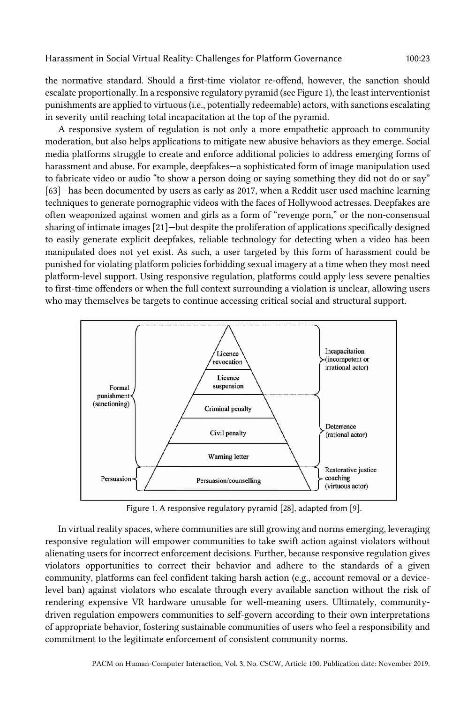the normative standard. Should a first-time violator re-offend, however, the sanction should escalate proportionally. In a responsive regulatory pyramid (see Figure 1), the least interventionist punishments are applied to virtuous (i.e., potentially redeemable) actors, with sanctions escalating in severity until reaching total incapacitation at the top of the pyramid.

A responsive system of regulation is not only a more empathetic approach to community moderation, but also helps applications to mitigate new abusive behaviors as they emerge. Social media platforms struggle to create and enforce additional policies to address emerging forms of harassment and abuse. For example, deepfakes—a sophisticated form of image manipulation used to fabricate video or audio "to show a person doing or saying something they did not do or say" [63]—has been documented by users as early as 2017, when a Reddit user used machine learning techniques to generate pornographic videos with the faces of Hollywood actresses. Deepfakes are often weaponized against women and girls as a form of "revenge porn," or the non-consensual sharing of intimate images [21]—but despite the proliferation of applications specifically designed to easily generate explicit deepfakes, reliable technology for detecting when a video has been manipulated does not yet exist. As such, a user targeted by this form of harassment could be punished for violating platform policies forbidding sexual imagery at a time when they most need platform-level support. Using responsive regulation, platforms could apply less severe penalties to first-time offenders or when the full context surrounding a violation is unclear, allowing users who may themselves be targets to continue accessing critical social and structural support.



Figure 1. A responsive regulatory pyramid [28], adapted from [9].

In virtual reality spaces, where communities are still growing and norms emerging, leveraging responsive regulation will empower communities to take swift action against violators without alienating users for incorrect enforcement decisions. Further, because responsive regulation gives violators opportunities to correct their behavior and adhere to the standards of a given community, platforms can feel confident taking harsh action (e.g., account removal or a devicelevel ban) against violators who escalate through every available sanction without the risk of rendering expensive VR hardware unusable for well-meaning users. Ultimately, communitydriven regulation empowers communities to self-govern according to their own interpretations of appropriate behavior, fostering sustainable communities of users who feel a responsibility and commitment to the legitimate enforcement of consistent community norms.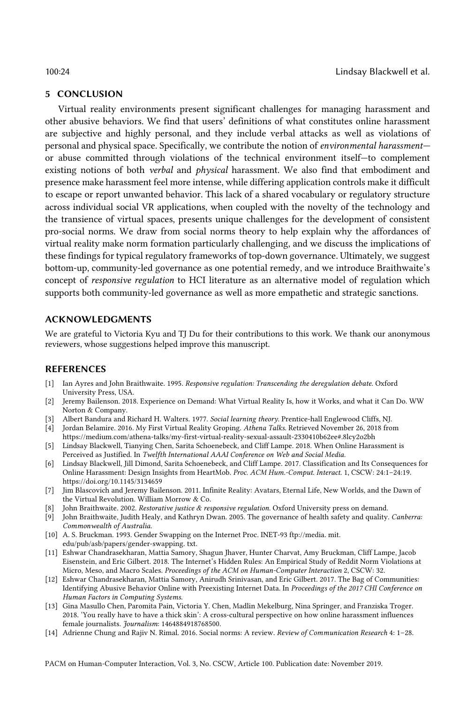# 5 CONCLUSION

Virtual reality environments present significant challenges for managing harassment and other abusive behaviors. We find that users' definitions of what constitutes online harassment are subjective and highly personal, and they include verbal attacks as well as violations of personal and physical space. Specifically, we contribute the notion of *environmental harassment* or abuse committed through violations of the technical environment itself—to complement existing notions of both *verbal* and *physical* harassment. We also find that embodiment and presence make harassment feel more intense, while differing application controls make it difficult to escape or report unwanted behavior. This lack of a shared vocabulary or regulatory structure across individual social VR applications, when coupled with the novelty of the technology and the transience of virtual spaces, presents unique challenges for the development of consistent pro-social norms. We draw from social norms theory to help explain why the affordances of virtual reality make norm formation particularly challenging, and we discuss the implications of these findings for typical regulatory frameworks of top-down governance. Ultimately, we suggest bottom-up, community-led governance as one potential remedy, and we introduce Braithwaite's concept of *responsive regulation* to HCI literature as an alternative model of regulation which supports both community-led governance as well as more empathetic and strategic sanctions.

# ACKNOWLEDGMENTS

We are grateful to Victoria Kyu and TJ Du for their contributions to this work. We thank our anonymous reviewers, whose suggestions helped improve this manuscript.

# REFERENCES

- [1] Ian Ayres and John Braithwaite. 1995. *Responsive regulation: Transcending the deregulation debate*. Oxford University Press, USA.
- [2] Jeremy Bailenson. 2018. Experience on Demand: What Virtual Reality Is, how it Works, and what it Can Do. WW Norton & Company.
- [3] Albert Bandura and Richard H. Walters. 1977. *Social learning theory*. Prentice-hall Englewood Cliffs, NJ.
- [4] Jordan Belamire. 2016. My First Virtual Reality Groping. *Athena Talks*. Retrieved November 26, 2018 from https://medium.com/athena-talks/my-first-virtual-reality-sexual-assault-2330410b62ee#.8lcy2o2bh
- [5] Lindsay Blackwell, Tianying Chen, Sarita Schoenebeck, and Cliff Lampe. 2018. When Online Harassment is Perceived as Justified. In *Twelfth International AAAI Conference on Web and Social Media*.
- [6] Lindsay Blackwell, Jill Dimond, Sarita Schoenebeck, and Cliff Lampe. 2017. Classification and Its Consequences for Online Harassment: Design Insights from HeartMob. *Proc. ACM Hum.-Comput. Interact.* 1, CSCW: 24:1–24:19. https://doi.org/10.1145/3134659
- [7] Jim Blascovich and Jeremy Bailenson. 2011. Infinite Reality: Avatars, Eternal Life, New Worlds, and the Dawn of the Virtual Revolution. William Morrow & Co.
- [8] John Braithwaite. 2002. *Restorative justice & responsive regulation*. Oxford University press on demand.
- [9] John Braithwaite, Judith Healy, and Kathryn Dwan. 2005. The governance of health safety and quality. *Canberra: Commonwealth of Australia*.
- [10] A. S. Bruckman. 1993. Gender Swapping on the Internet Proc. INET-93 ftp://media. mit. edu/pub/asb/papers/gender-swapping. txt.
- [11] Eshwar Chandrasekharan, Mattia Samory, Shagun Jhaver, Hunter Charvat, Amy Bruckman, Cliff Lampe, Jacob Eisenstein, and Eric Gilbert. 2018. The Internet's Hidden Rules: An Empirical Study of Reddit Norm Violations at Micro, Meso, and Macro Scales. *Proceedings of the ACM on Human-Computer Interaction* 2, CSCW: 32.
- [12] Eshwar Chandrasekharan, Mattia Samory, Anirudh Srinivasan, and Eric Gilbert. 2017. The Bag of Communities: Identifying Abusive Behavior Online with Preexisting Internet Data. In *Proceedings of the 2017 CHI Conference on Human Factors in Computing Systems*.
- [13] Gina Masullo Chen, Paromita Pain, Victoria Y. Chen, Madlin Mekelburg, Nina Springer, and Franziska Troger. 2018. 'You really have to have a thick skin': A cross-cultural perspective on how online harassment influences female journalists. *Journalism*: 1464884918768500.
- [14] Adrienne Chung and Rajiv N. Rimal. 2016. Social norms: A review. *Review of Communication Research* 4: 1–28.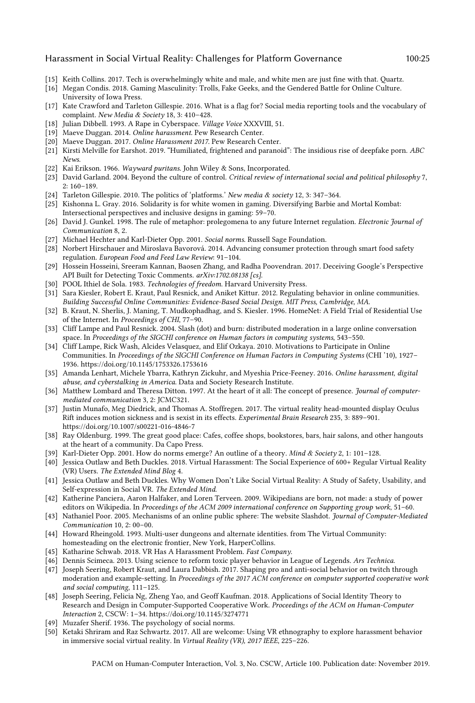- [15] Keith Collins. 2017. Tech is overwhelmingly white and male, and white men are just fine with that. Quartz.
- [16] Megan Condis. 2018. Gaming Masculinity: Trolls, Fake Geeks, and the Gendered Battle for Online Culture. University of Iowa Press.
- [17] Kate Crawford and Tarleton Gillespie. 2016. What is a flag for? Social media reporting tools and the vocabulary of complaint. *New Media & Society* 18, 3: 410–428.
- [18] Julian Dibbell. 1993. A Rape in Cyberspace. *Village Voice* XXXVIII, 51.
- [19] Maeve Duggan. 2014. *Online harassment*. Pew Research Center.
- [20] Maeve Duggan. 2017. *Online Harassment 2017.* Pew Research Center.
- [21] Kirsti Melville for Earshot. 2019. "Humiliated, frightened and paranoid": The insidious rise of deepfake porn. *ABC News*.
- [22] Kai Erikson. 1966. *Wayward puritans*. John Wiley & Sons, Incorporated.
- [23] David Garland. 2004. Beyond the culture of control. *Critical review of international social and political philosophy* 7, 2: 160–189.
- [24] Tarleton Gillespie. 2010. The politics of 'platforms.' *New media & society* 12, 3: 347–364.
- [25] Kishonna L. Gray. 2016. Solidarity is for white women in gaming. Diversifying Barbie and Mortal Kombat: Intersectional perspectives and inclusive designs in gaming: 59–70.
- [26] David J. Gunkel. 1998. The rule of metaphor: prolegomena to any future Internet regulation. *Electronic Journal of Communication* 8, 2.
- [27] Michael Hechter and Karl-Dieter Opp. 2001. *Social norms*. Russell Sage Foundation.
- [28] Norbert Hirschauer and Miroslava Bavorová. 2014. Advancing consumer protection through smart food safety regulation. *European Food and Feed Law Review*: 91–104.
- [29] Hossein Hosseini, Sreeram Kannan, Baosen Zhang, and Radha Poovendran. 2017. Deceiving Google's Perspective API Built for Detecting Toxic Comments. *arXiv:1702.08138 [cs]*.
- [30] POOL Ithiel de Sola. 1983. *Technologies of freedom*. Harvard University Press.
- [31] Sara Kiesler, Robert E. Kraut, Paul Resnick, and Aniket Kittur. 2012. Regulating behavior in online communities. *Building Successful Online Communities: Evidence-Based Social Design. MIT Press, Cambridge, MA*.
- [32] B. Kraut, N. Sherlis, J. Maning, T. Mudkophadhag, and S. Kiesler. 1996. HomeNet: A Field Trial of Residential Use of the Internet. In *Proceedings of CHI*, 77–90.
- [33] Cliff Lampe and Paul Resnick. 2004. Slash (dot) and burn: distributed moderation in a large online conversation space. In *Proceedings of the SIGCHI conference on Human factors in computing systems*, 543–550.
- [34] Cliff Lampe, Rick Wash, Alcides Velasquez, and Elif Ozkaya. 2010. Motivations to Participate in Online Communities. In *Proceedings of the SIGCHI Conference on Human Factors in Computing Systems* (CHI '10), 1927– 1936. https://doi.org/10.1145/1753326.1753616
- [35] Amanda Lenhart, Michele Ybarra, Kathryn Zickuhr, and Myeshia Price-Feeney. 2016. *Online harassment, digital abuse, and cyberstalking in America*. Data and Society Research Institute.
- [36] Matthew Lombard and Theresa Ditton. 1997. At the heart of it all: The concept of presence. *Journal of computermediated communication* 3, 2: JCMC321.
- [37] Justin Munafo, Meg Diedrick, and Thomas A. Stoffregen. 2017. The virtual reality head-mounted display Oculus Rift induces motion sickness and is sexist in its effects. *Experimental Brain Research* 235, 3: 889–901. https://doi.org/10.1007/s00221-016-4846-7
- [38] Ray Oldenburg. 1999. The great good place: Cafes, coffee shops, bookstores, bars, hair salons, and other hangouts at the heart of a community. Da Capo Press.
- [39] Karl-Dieter Opp. 2001. How do norms emerge? An outline of a theory. *Mind & Society* 2, 1: 101–128.
- [40] Jessica Outlaw and Beth Duckles. 2018. Virtual Harassment: The Social Experience of 600+ Regular Virtual Reality (VR) Users. *The Extended Mind Blog* 4.
- [41] Jessica Outlaw and Beth Duckles. Why Women Don't Like Social Virtual Reality: A Study of Safety, Usability, and Self-expression in Social VR. *The Extended Mind*.
- [42] Katherine Panciera, Aaron Halfaker, and Loren Terveen. 2009. Wikipedians are born, not made: a study of power editors on Wikipedia. In *Proceedings of the ACM 2009 international conference on Supporting group work*, 51–60.
- [43] Nathaniel Poor. 2005. Mechanisms of an online public sphere: The website Slashdot. *Journal of Computer-Mediated Communication* 10, 2: 00–00.
- [44] Howard Rheingold. 1993. Multi-user dungeons and alternate identities. from The Virtual Community: homesteading on the electronic frontier, New York, HarperCollins.
- [45] Katharine Schwab. 2018. VR Has A Harassment Problem. *Fast Company*.
- [46] Dennis Scimeca. 2013. Using science to reform toxic player behavior in League of Legends. *Ars Technica*.
- [47] Joseph Seering, Robert Kraut, and Laura Dabbish. 2017. Shaping pro and anti-social behavior on twitch through moderation and example-setting. In *Proceedings of the 2017 ACM conference on computer supported cooperative work and social computing*, 111–125.
- [48] Joseph Seering, Felicia Ng, Zheng Yao, and Geoff Kaufman. 2018. Applications of Social Identity Theory to Research and Design in Computer-Supported Cooperative Work. *Proceedings of the ACM on Human-Computer Interaction* 2, CSCW: 1–34. https://doi.org/10.1145/3274771
- [49] Muzafer Sherif. 1936. The psychology of social norms.
- [50] Ketaki Shriram and Raz Schwartz. 2017. All are welcome: Using VR ethnography to explore harassment behavior in immersive social virtual reality. In *Virtual Reality (VR), 2017 IEEE*, 225–226.